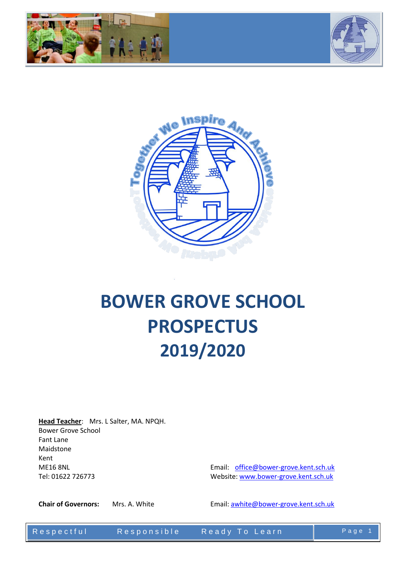





# **BOWER GROVE SCHOOL PROSPECTUS 2019/2020**

**Head Teacher**: Mrs. L Salter, MA. NPQH. Bower Grove School Fant Lane Maidstone Kent<br>ME16 8NL ME16 8NL Email: [office@bower-grove.kent.sch.uk](mailto:office@bower-grove.kent.sch.uk)

Website: [www.bower-grove.kent.sch.uk](http://www.bower-grove.kent.sch.uk/)

**Chair of Governors:** Mrs. A. White **Email:** awhite@bower-grove.kent.sch.uk

Respectful Responsible Ready To Learn | Page 1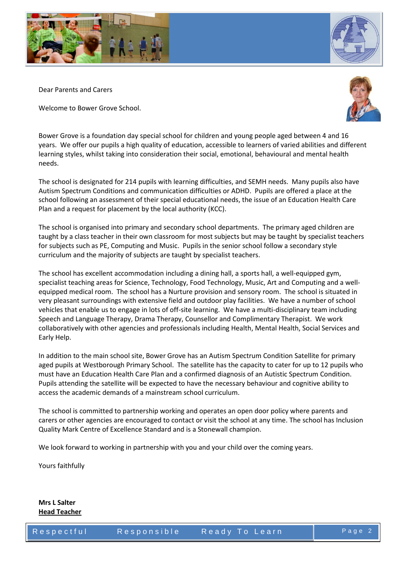



Dear Parents and Carers

Welcome to Bower Grove School.



Bower Grove is a foundation day special school for children and young people aged between 4 and 16 years. We offer our pupils a high quality of education, accessible to learners of varied abilities and different learning styles, whilst taking into consideration their social, emotional, behavioural and mental health needs.

The school is designated for 214 pupils with learning difficulties, and SEMH needs. Many pupils also have Autism Spectrum Conditions and communication difficulties or ADHD. Pupils are offered a place at the school following an assessment of their special educational needs, the issue of an Education Health Care Plan and a request for placement by the local authority (KCC).

The school is organised into primary and secondary school departments. The primary aged children are taught by a class teacher in their own classroom for most subjects but may be taught by specialist teachers for subjects such as PE, Computing and Music. Pupils in the senior school follow a secondary style curriculum and the majority of subjects are taught by specialist teachers.

The school has excellent accommodation including a dining hall, a sports hall, a well-equipped gym, specialist teaching areas for Science, Technology, Food Technology, Music, Art and Computing and a wellequipped medical room. The school has a Nurture provision and sensory room. The school is situated in very pleasant surroundings with extensive field and outdoor play facilities. We have a number of school vehicles that enable us to engage in lots of off-site learning. We have a multi-disciplinary team including Speech and Language Therapy, Drama Therapy, Counsellor and Complimentary Therapist. We work collaboratively with other agencies and professionals including Health, Mental Health, Social Services and Early Help.

In addition to the main school site, Bower Grove has an Autism Spectrum Condition Satellite for primary aged pupils at Westborough Primary School. The satellite has the capacity to cater for up to 12 pupils who must have an Education Health Care Plan and a confirmed diagnosis of an Autistic Spectrum Condition. Pupils attending the satellite will be expected to have the necessary behaviour and cognitive ability to access the academic demands of a mainstream school curriculum.

The school is committed to partnership working and operates an open door policy where parents and carers or other agencies are encouraged to contact or visit the school at any time. The school has Inclusion Quality Mark Centre of Excellence Standard and is a Stonewall champion.

We look forward to working in partnership with you and your child over the coming years.

Yours faithfully

**Mrs L Salter Head Teacher**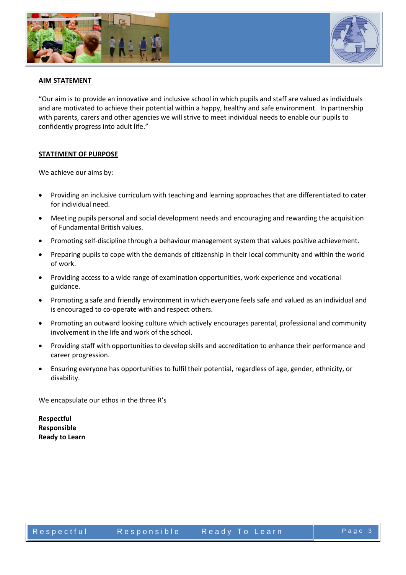



## **AIM STATEMENT**

"Our aim is to provide an innovative and inclusive school in which pupils and staff are valued as individuals and are motivated to achieve their potential within a happy, healthy and safe environment. In partnership with parents, carers and other agencies we will strive to meet individual needs to enable our pupils to confidently progress into adult life."

#### **STATEMENT OF PURPOSE**

We achieve our aims by:

- Providing an inclusive curriculum with teaching and learning approaches that are differentiated to cater for individual need.
- Meeting pupils personal and social development needs and encouraging and rewarding the acquisition of Fundamental British values.
- Promoting self-discipline through a behaviour management system that values positive achievement.
- Preparing pupils to cope with the demands of citizenship in their local community and within the world of work.
- Providing access to a wide range of examination opportunities, work experience and vocational guidance.
- Promoting a safe and friendly environment in which everyone feels safe and valued as an individual and is encouraged to co-operate with and respect others.
- Promoting an outward looking culture which actively encourages parental, professional and community involvement in the life and work of the school.
- Providing staff with opportunities to develop skills and accreditation to enhance their performance and career progression.
- Ensuring everyone has opportunities to fulfil their potential, regardless of age, gender, ethnicity, or disability.

We encapsulate our ethos in the three R's

**Respectful Responsible Ready to Learn**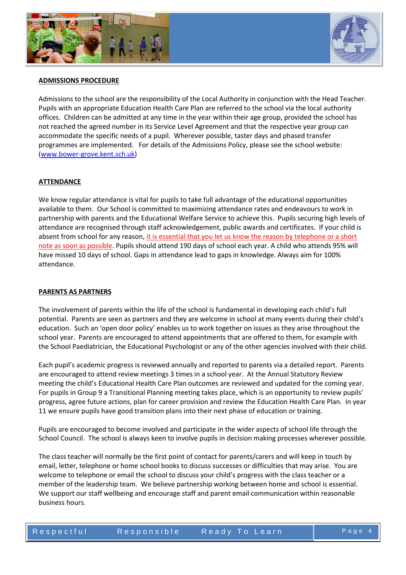



## **ADMISSIONS PROCEDURE**

Admissions to the school are the responsibility of the Local Authority in conjunction with the Head Teacher. Pupils with an appropriate Education Health Care Plan are referred to the school via the local authority offices. Children can be admitted at any time in the year within their age group, provided the school has not reached the agreed number in its Service Level Agreement and that the respective year group can accommodate the specific needs of a pupil. Wherever possible, taster days and phased transfer programmes are implemented. For details of the Admissions Policy, please see the school website: [\(www.bower-grove.kent.sch.uk\)](http://www.bower-grove.kent.sch.uk/)

## **ATTENDANCE**

We know regular attendance is vital for pupils to take full advantage of the educational opportunities available to them. Our School is committed to maximizing attendance rates and endeavours to work in partnership with parents and the Educational Welfare Service to achieve this. Pupils securing high levels of attendance are recognised through staff acknowledgement, public awards and certificates. If your child is absent from school for any reason, it is essential that you let us know the reason by telephone or a short note as soon as possible. Pupils should attend 190 days of school each year. A child who attends 95% will have missed 10 days of school. Gaps in attendance lead to gaps in knowledge. Always aim for 100% attendance.

## **PARENTS AS PARTNERS**

The involvement of parents within the life of the school is fundamental in developing each child's full potential. Parents are seen as partners and they are welcome in school at many events during their child's education. Such an 'open door policy' enables us to work together on issues as they arise throughout the school year. Parents are encouraged to attend appointments that are offered to them, for example with the School Paediatrician, the Educational Psychologist or any of the other agencies involved with their child.

Each pupil's academic progress is reviewed annually and reported to parents via a detailed report. Parents are encouraged to attend review meetings 3 times in a school year. At the Annual Statutory Review meeting the child's Educational Health Care Plan outcomes are reviewed and updated for the coming year. For pupils in Group 9 a Transitional Planning meeting takes place, which is an opportunity to review pupils' progress, agree future actions, plan for career provision and review the Education Health Care Plan. In year 11 we ensure pupils have good transition plans into their next phase of education or training.

Pupils are encouraged to become involved and participate in the wider aspects of school life through the School Council. The school is always keen to involve pupils in decision making processes wherever possible.

The class teacher will normally be the first point of contact for parents/carers and will keep in touch by email, letter, telephone or home school books to discuss successes or difficulties that may arise. You are welcome to telephone or email the school to discuss your child's progress with the class teacher or a member of the leadership team. We believe partnership working between home and school is essential. We support our staff wellbeing and encourage staff and parent email communication within reasonable business hours.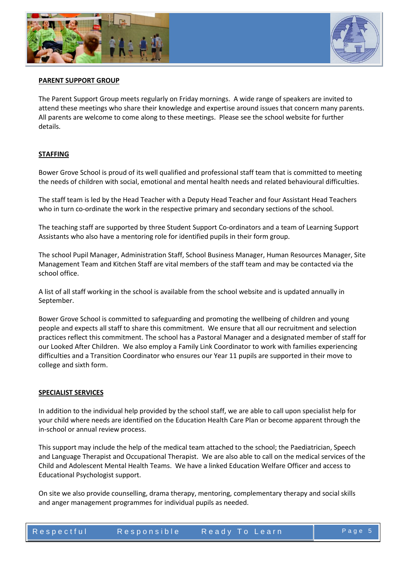



## **PARENT SUPPORT GROUP**

The Parent Support Group meets regularly on Friday mornings. A wide range of speakers are invited to attend these meetings who share their knowledge and expertise around issues that concern many parents. All parents are welcome to come along to these meetings. Please see the school website for further details.

## **STAFFING**

Bower Grove School is proud of its well qualified and professional staff team that is committed to meeting the needs of children with social, emotional and mental health needs and related behavioural difficulties.

The staff team is led by the Head Teacher with a Deputy Head Teacher and four Assistant Head Teachers who in turn co-ordinate the work in the respective primary and secondary sections of the school.

The teaching staff are supported by three Student Support Co-ordinators and a team of Learning Support Assistants who also have a mentoring role for identified pupils in their form group.

The school Pupil Manager, Administration Staff, School Business Manager, Human Resources Manager, Site Management Team and Kitchen Staff are vital members of the staff team and may be contacted via the school office.

A list of all staff working in the school is available from the school website and is updated annually in September.

Bower Grove School is committed to safeguarding and promoting the wellbeing of children and young people and expects all staff to share this commitment. We ensure that all our recruitment and selection practices reflect this commitment. The school has a Pastoral Manager and a designated member of staff for our Looked After Children. We also employ a Family Link Coordinator to work with families experiencing difficulties and a Transition Coordinator who ensures our Year 11 pupils are supported in their move to college and sixth form.

## **SPECIALIST SERVICES**

In addition to the individual help provided by the school staff, we are able to call upon specialist help for your child where needs are identified on the Education Health Care Plan or become apparent through the in-school or annual review process.

This support may include the help of the medical team attached to the school; the Paediatrician, Speech and Language Therapist and Occupational Therapist. We are also able to call on the medical services of the Child and Adolescent Mental Health Teams. We have a linked Education Welfare Officer and access to Educational Psychologist support.

On site we also provide counselling, drama therapy, mentoring, complementary therapy and social skills and anger management programmes for individual pupils as needed.

Respectful Responsible Ready-To-Learn | Page-5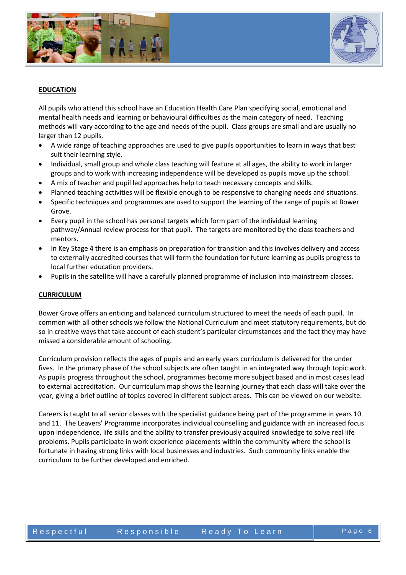



# **EDUCATION**

All pupils who attend this school have an Education Health Care Plan specifying social, emotional and mental health needs and learning or behavioural difficulties as the main category of need. Teaching methods will vary according to the age and needs of the pupil. Class groups are small and are usually no larger than 12 pupils.

- A wide range of teaching approaches are used to give pupils opportunities to learn in ways that best suit their learning style.
- Individual, small group and whole class teaching will feature at all ages, the ability to work in larger groups and to work with increasing independence will be developed as pupils move up the school.
- A mix of teacher and pupil led approaches help to teach necessary concepts and skills.
- Planned teaching activities will be flexible enough to be responsive to changing needs and situations.
- Specific techniques and programmes are used to support the learning of the range of pupils at Bower Grove.
- Every pupil in the school has personal targets which form part of the individual learning pathway/Annual review process for that pupil. The targets are monitored by the class teachers and mentors.
- In Key Stage 4 there is an emphasis on preparation for transition and this involves delivery and access to externally accredited courses that will form the foundation for future learning as pupils progress to local further education providers.
- Pupils in the satellite will have a carefully planned programme of inclusion into mainstream classes.

## **CURRICULUM**

Bower Grove offers an enticing and balanced curriculum structured to meet the needs of each pupil. In common with all other schools we follow the National Curriculum and meet statutory requirements, but do so in creative ways that take account of each student's particular circumstances and the fact they may have missed a considerable amount of schooling.

Curriculum provision reflects the ages of pupils and an early years curriculum is delivered for the under fives. In the primary phase of the school subjects are often taught in an integrated way through topic work. As pupils progress throughout the school, programmes become more subject based and in most cases lead to external accreditation. Our curriculum map shows the learning journey that each class will take over the year, giving a brief outline of topics covered in different subject areas. This can be viewed on our website.

Careers is taught to all senior classes with the specialist guidance being part of the programme in years 10 and 11. The Leavers' Programme incorporates individual counselling and guidance with an increased focus upon independence, life skills and the ability to transfer previously acquired knowledge to solve real life problems. Pupils participate in work experience placements within the community where the school is fortunate in having strong links with local businesses and industries. Such community links enable the curriculum to be further developed and enriched.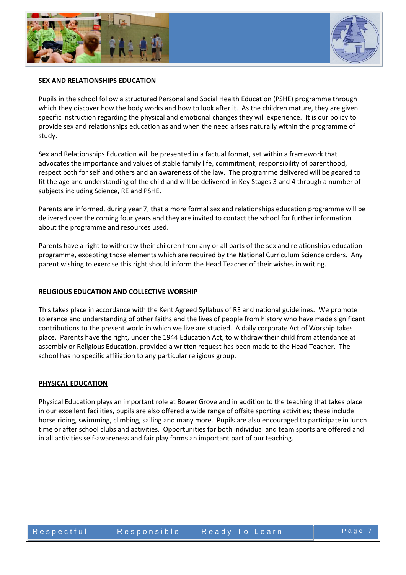



## **SEX AND RELATIONSHIPS EDUCATION**

Pupils in the school follow a structured Personal and Social Health Education (PSHE) programme through which they discover how the body works and how to look after it. As the children mature, they are given specific instruction regarding the physical and emotional changes they will experience. It is our policy to provide sex and relationships education as and when the need arises naturally within the programme of study.

Sex and Relationships Education will be presented in a factual format, set within a framework that advocates the importance and values of stable family life, commitment, responsibility of parenthood, respect both for self and others and an awareness of the law. The programme delivered will be geared to fit the age and understanding of the child and will be delivered in Key Stages 3 and 4 through a number of subjects including Science, RE and PSHE.

Parents are informed, during year 7, that a more formal sex and relationships education programme will be delivered over the coming four years and they are invited to contact the school for further information about the programme and resources used.

Parents have a right to withdraw their children from any or all parts of the sex and relationships education programme, excepting those elements which are required by the National Curriculum Science orders. Any parent wishing to exercise this right should inform the Head Teacher of their wishes in writing.

## **RELIGIOUS EDUCATION AND COLLECTIVE WORSHIP**

This takes place in accordance with the Kent Agreed Syllabus of RE and national guidelines. We promote tolerance and understanding of other faiths and the lives of people from history who have made significant contributions to the present world in which we live are studied. A daily corporate Act of Worship takes place. Parents have the right, under the 1944 Education Act, to withdraw their child from attendance at assembly or Religious Education, provided a written request has been made to the Head Teacher. The school has no specific affiliation to any particular religious group.

## **PHYSICAL EDUCATION**

Physical Education plays an important role at Bower Grove and in addition to the teaching that takes place in our excellent facilities, pupils are also offered a wide range of offsite sporting activities; these include horse riding, swimming, climbing, sailing and many more. Pupils are also encouraged to participate in lunch time or after school clubs and activities. Opportunities for both individual and team sports are offered and in all activities self-awareness and fair play forms an important part of our teaching.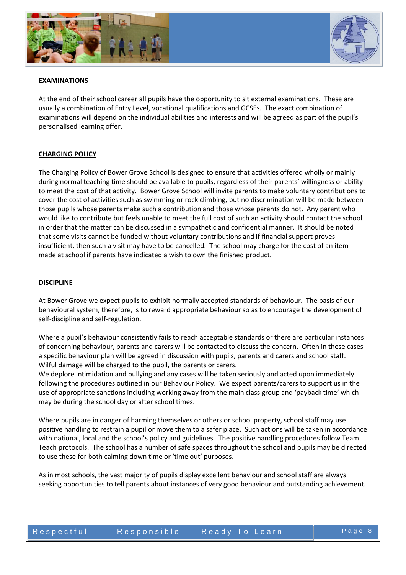



# **EXAMINATIONS**

At the end of their school career all pupils have the opportunity to sit external examinations. These are usually a combination of Entry Level, vocational qualifications and GCSEs. The exact combination of examinations will depend on the individual abilities and interests and will be agreed as part of the pupil's personalised learning offer.

## **CHARGING POLICY**

The Charging Policy of Bower Grove School is designed to ensure that activities offered wholly or mainly during normal teaching time should be available to pupils, regardless of their parents' willingness or ability to meet the cost of that activity. Bower Grove School will invite parents to make voluntary contributions to cover the cost of activities such as swimming or rock climbing, but no discrimination will be made between those pupils whose parents make such a contribution and those whose parents do not. Any parent who would like to contribute but feels unable to meet the full cost of such an activity should contact the school in order that the matter can be discussed in a sympathetic and confidential manner. It should be noted that some visits cannot be funded without voluntary contributions and if financial support proves insufficient, then such a visit may have to be cancelled. The school may charge for the cost of an item made at school if parents have indicated a wish to own the finished product.

## **DISCIPLINE**

At Bower Grove we expect pupils to exhibit normally accepted standards of behaviour. The basis of our behavioural system, therefore, is to reward appropriate behaviour so as to encourage the development of self-discipline and self-regulation.

Where a pupil's behaviour consistently fails to reach acceptable standards or there are particular instances of concerning behaviour, parents and carers will be contacted to discuss the concern. Often in these cases a specific behaviour plan will be agreed in discussion with pupils, parents and carers and school staff. Wilful damage will be charged to the pupil, the parents or carers.

We deplore intimidation and bullying and any cases will be taken seriously and acted upon immediately following the procedures outlined in our Behaviour Policy. We expect parents/carers to support us in the use of appropriate sanctions including working away from the main class group and 'payback time' which may be during the school day or after school times.

Where pupils are in danger of harming themselves or others or school property, school staff may use positive handling to restrain a pupil or move them to a safer place. Such actions will be taken in accordance with national, local and the school's policy and guidelines. The positive handling procedures follow Team Teach protocols. The school has a number of safe spaces throughout the school and pupils may be directed to use these for both calming down time or 'time out' purposes.

As in most schools, the vast majority of pupils display excellent behaviour and school staff are always seeking opportunities to tell parents about instances of very good behaviour and outstanding achievement.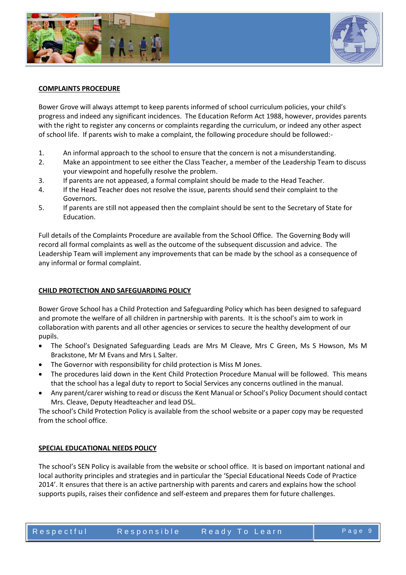



## **COMPLAINTS PROCEDURE**

Bower Grove will always attempt to keep parents informed of school curriculum policies, your child's progress and indeed any significant incidences. The Education Reform Act 1988, however, provides parents with the right to register any concerns or complaints regarding the curriculum, or indeed any other aspect of school life. If parents wish to make a complaint, the following procedure should be followed:-

- 1. An informal approach to the school to ensure that the concern is not a misunderstanding.
- 2. Make an appointment to see either the Class Teacher, a member of the Leadership Team to discuss your viewpoint and hopefully resolve the problem.
- 3. If parents are not appeased, a formal complaint should be made to the Head Teacher.
- 4. If the Head Teacher does not resolve the issue, parents should send their complaint to the Governors.
- 5. If parents are still not appeased then the complaint should be sent to the Secretary of State for Education.

Full details of the Complaints Procedure are available from the School Office. The Governing Body will record all formal complaints as well as the outcome of the subsequent discussion and advice. The Leadership Team will implement any improvements that can be made by the school as a consequence of any informal or formal complaint.

# **CHILD PROTECTION AND SAFEGUARDING POLICY**

Bower Grove School has a Child Protection and Safeguarding Policy which has been designed to safeguard and promote the welfare of all children in partnership with parents. It is the school's aim to work in collaboration with parents and all other agencies or services to secure the healthy development of our pupils.

- The School's Designated Safeguarding Leads are Mrs M Cleave, Mrs C Green, Ms S Howson, Ms M Brackstone, Mr M Evans and Mrs L Salter.
- The Governor with responsibility for child protection is Miss M Jones.
- The procedures laid down in the Kent Child Protection Procedure Manual will be followed. This means that the school has a legal duty to report to Social Services any concerns outlined in the manual.
- Any parent/carer wishing to read or discuss the Kent Manual or School's Policy Document should contact Mrs. Cleave, Deputy Headteacher and lead DSL.

The school's Child Protection Policy is available from the school website or a paper copy may be requested from the school office.

# **SPECIAL EDUCATIONAL NEEDS POLICY**

The school's SEN Policy is available from the website or school office. It is based on important national and local authority principles and strategies and in particular the 'Special Educational Needs Code of Practice 2014'. It ensures that there is an active partnership with parents and carers and explains how the school supports pupils, raises their confidence and self-esteem and prepares them for future challenges.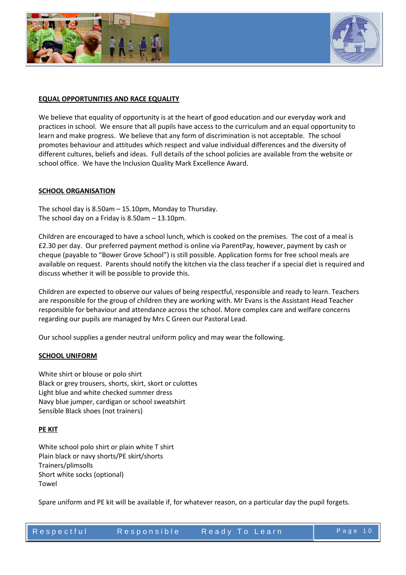



# **EQUAL OPPORTUNITIES AND RACE EQUALITY**

We believe that equality of opportunity is at the heart of good education and our everyday work and practices in school. We ensure that all pupils have access to the curriculum and an equal opportunity to learn and make progress. We believe that any form of discrimination is not acceptable. The school promotes behaviour and attitudes which respect and value individual differences and the diversity of different cultures, beliefs and ideas. Full details of the school policies are available from the website or school office. We have the Inclusion Quality Mark Excellence Award.

## **SCHOOL ORGANISATION**

The school day is 8.50am – 15.10pm, Monday to Thursday. The school day on a Friday is 8.50am – 13.10pm.

Children are encouraged to have a school lunch, which is cooked on the premises. The cost of a meal is £2.30 per day. Our preferred payment method is online via ParentPay, however, payment by cash or cheque (payable to "Bower Grove School") is still possible. Application forms for free school meals are available on request. Parents should notify the kitchen via the class teacher if a special diet is required and discuss whether it will be possible to provide this.

Children are expected to observe our values of being respectful, responsible and ready to learn. Teachers are responsible for the group of children they are working with. Mr Evans is the Assistant Head Teacher responsible for behaviour and attendance across the school. More complex care and welfare concerns regarding our pupils are managed by Mrs C Green our Pastoral Lead.

Our school supplies a gender neutral uniform policy and may wear the following.

## **SCHOOL UNIFORM**

White shirt or blouse or polo shirt Black or grey trousers, shorts, skirt, skort or culottes Light blue and white checked summer dress Navy blue jumper, cardigan or school sweatshirt Sensible Black shoes (not trainers)

## **PE KIT**

White school polo shirt or plain white T shirt Plain black or navy shorts/PE skirt/shorts Trainers/plimsolls Short white socks (optional) Towel

Spare uniform and PE kit will be available if, for whatever reason, on a particular day the pupil forgets.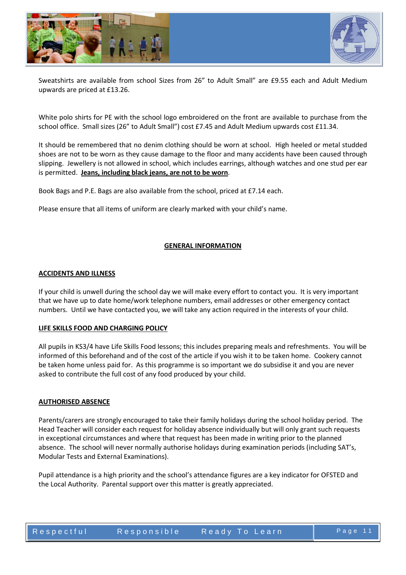

Sweatshirts are available from school Sizes from 26" to Adult Small" are £9.55 each and Adult Medium upwards are priced at £13.26.

White polo shirts for PE with the school logo embroidered on the front are available to purchase from the school office. Small sizes (26" to Adult Small") cost £7.45 and Adult Medium upwards cost £11.34.

It should be remembered that no denim clothing should be worn at school. High heeled or metal studded shoes are not to be worn as they cause damage to the floor and many accidents have been caused through slipping. Jewellery is not allowed in school, which includes earrings, although watches and one stud per ear is permitted. **Jeans, including black jeans, are not to be worn**.

Book Bags and P.E. Bags are also available from the school, priced at £7.14 each.

Please ensure that all items of uniform are clearly marked with your child's name.

# **GENERAL INFORMATION**

## **ACCIDENTS AND ILLNESS**

If your child is unwell during the school day we will make every effort to contact you. It is very important that we have up to date home/work telephone numbers, email addresses or other emergency contact numbers. Until we have contacted you, we will take any action required in the interests of your child.

## **LIFE SKILLS FOOD AND CHARGING POLICY**

All pupils in KS3/4 have Life Skills Food lessons; this includes preparing meals and refreshments. You will be informed of this beforehand and of the cost of the article if you wish it to be taken home. Cookery cannot be taken home unless paid for. As this programme is so important we do subsidise it and you are never asked to contribute the full cost of any food produced by your child.

## **AUTHORISED ABSENCE**

Parents/carers are strongly encouraged to take their family holidays during the school holiday period. The Head Teacher will consider each request for holiday absence individually but will only grant such requests in exceptional circumstances and where that request has been made in writing prior to the planned absence. The school will never normally authorise holidays during examination periods (including SAT's, Modular Tests and External Examinations).

Pupil attendance is a high priority and the school's attendance figures are a key indicator for OFSTED and the Local Authority. Parental support over this matter is greatly appreciated.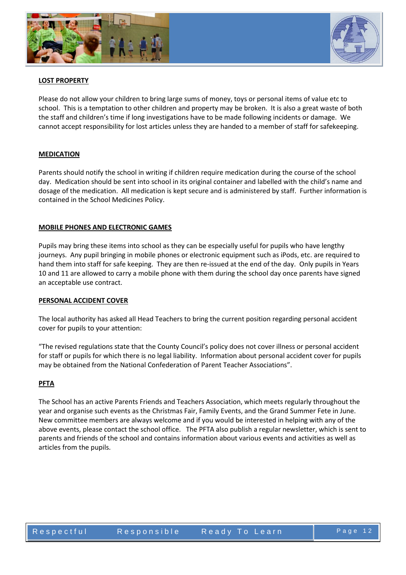



# **LOST PROPERTY**

Please do not allow your children to bring large sums of money, toys or personal items of value etc to school. This is a temptation to other children and property may be broken. It is also a great waste of both the staff and children's time if long investigations have to be made following incidents or damage. We cannot accept responsibility for lost articles unless they are handed to a member of staff for safekeeping.

#### **MEDICATION**

Parents should notify the school in writing if children require medication during the course of the school day. Medication should be sent into school in its original container and labelled with the child's name and dosage of the medication. All medication is kept secure and is administered by staff. Further information is contained in the School Medicines Policy.

## **MOBILE PHONES AND ELECTRONIC GAMES**

Pupils may bring these items into school as they can be especially useful for pupils who have lengthy journeys. Any pupil bringing in mobile phones or electronic equipment such as iPods, etc. are required to hand them into staff for safe keeping. They are then re-issued at the end of the day. Only pupils in Years 10 and 11 are allowed to carry a mobile phone with them during the school day once parents have signed an acceptable use contract.

#### **PERSONAL ACCIDENT COVER**

The local authority has asked all Head Teachers to bring the current position regarding personal accident cover for pupils to your attention:

"The revised regulations state that the County Council's policy does not cover illness or personal accident for staff or pupils for which there is no legal liability. Information about personal accident cover for pupils may be obtained from the National Confederation of Parent Teacher Associations".

## **PFTA**

The School has an active Parents Friends and Teachers Association, which meets regularly throughout the year and organise such events as the Christmas Fair, Family Events, and the Grand Summer Fete in June. New committee members are always welcome and if you would be interested in helping with any of the above events, please contact the school office. The PFTA also publish a regular newsletter, which is sent to parents and friends of the school and contains information about various events and activities as well as articles from the pupils.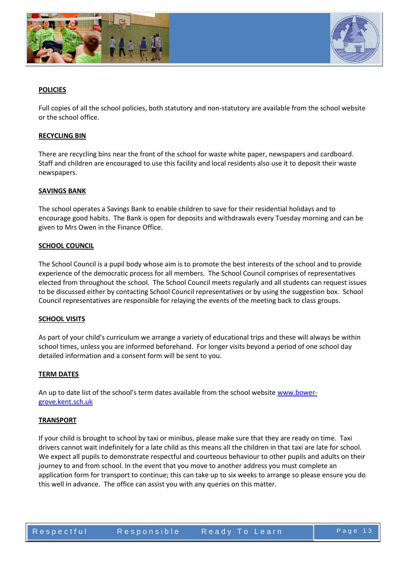



# **POLICIES**

Full copies of all the school policies, both statutory and non-statutory are available from the school website or the school office.

#### **RECYCLING BIN**

There are recycling bins near the front of the school for waste white paper, newspapers and cardboard. Staff and children are encouraged to use this facility and local residents also use it to deposit their waste newspapers.

#### **SAVINGS BANK**

The school operates a Savings Bank to enable children to save for their residential holidays and to encourage good habits. The Bank is open for deposits and withdrawals every Tuesday morning and can be given to Mrs Owen in the Finance Office.

#### **SCHOOL COUNCIL**

The School Council is a pupil body whose aim is to promote the best interests of the school and to provide experience of the democratic process for all members. The School Council comprises of representatives elected from throughout the school. The School Council meets regularly and all students can request issues to be discussed either by contacting School Council representatives or by using the suggestion box. School Council representatives are responsible for relaying the events of the meeting back to class groups.

#### **SCHOOL VISITS**

As part of your child's curriculum we arrange a variety of educational trips and these will always be within school times, unless you are informed beforehand. For longer visits beyond a period of one school day detailed information and a consent form will be sent to you.

#### **TERM DATES**

An up to date list of the school's term dates available from the school website [www.bower](http://www.bower-grove.kent.sch.uk/)[grove.kent.sch.uk](http://www.bower-grove.kent.sch.uk/)

#### **TRANSPORT**

If your child is brought to school by taxi or minibus, please make sure that they are ready on time. Taxi drivers cannot wait indefinitely for a late child as this means all the children in that taxi are late for school. We expect all pupils to demonstrate respectful and courteous behaviour to other pupils and adults on their journey to and from school. In the event that you move to another address you must complete an application form for transport to continue; this can take up to six weeks to arrange so please ensure you do this well in advance. The office can assist you with any queries on this matter.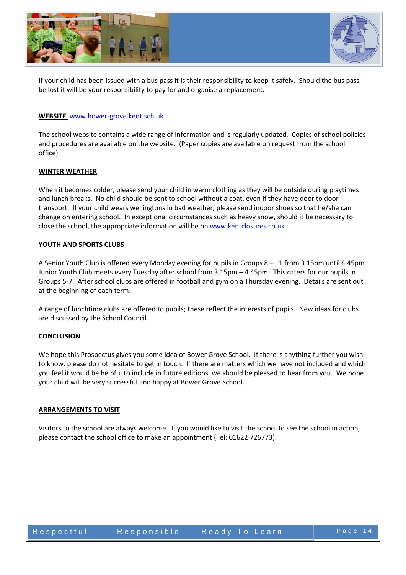

If your child has been issued with a bus pass it is their responsibility to keep it safely. Should the bus pass be lost it will be your responsibility to pay for and organise a replacement.

## **WEBSITE** [www.bower-grove.kent.sch.uk](http://www.bower-grove.kent.sch.uk/)

The school website contains a wide range of information and is regularly updated. Copies of school policies and procedures are available on the website. (Paper copies are available on request from the school office).

## **WINTER WEATHER**

When it becomes colder, please send your child in warm clothing as they will be outside during playtimes and lunch breaks. No child should be sent to school without a coat, even if they have door to door transport. If your child wears wellingtons in bad weather, please send indoor shoes so that he/she can change on entering school. In exceptional circumstances such as heavy snow, should it be necessary to close the school, the appropriate information will be on [www.kentclosures.co.uk.](http://www.kentclosures.co.uk/)

## **YOUTH AND SPORTS CLUBS**

A Senior Youth Club is offered every Monday evening for pupils in Groups 8 – 11 from 3.15pm until 4.45pm. Junior Youth Club meets every Tuesday after school from 3.15pm – 4.45pm. This caters for our pupils in Groups 5-7. After school clubs are offered in football and gym on a Thursday evening. Details are sent out at the beginning of each term.

A range of lunchtime clubs are offered to pupils; these reflect the interests of pupils. New ideas for clubs are discussed by the School Council.

## **CONCLUSION**

We hope this Prospectus gives you some idea of Bower Grove School. If there is anything further you wish to know, please do not hesitate to get in touch. If there are matters which we have not included and which you feel it would be helpful to include in future editions, we should be pleased to hear from you. We hope your child will be very successful and happy at Bower Grove School.

## **ARRANGEMENTS TO VISIT**

Visitors to the school are always welcome. If you would like to visit the school to see the school in action, please contact the school office to make an appointment (Tel: 01622 726773).